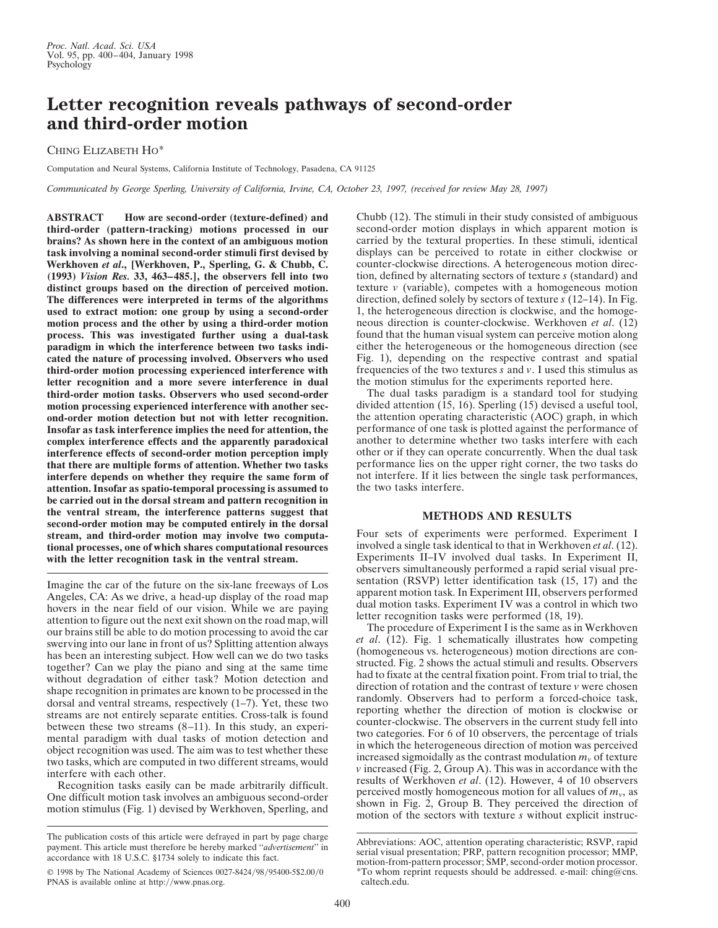# **Letter recognition reveals pathways of second-order and third-order motion**

CHING ELIZABETH HO\*

Computation and Neural Systems, California Institute of Technology, Pasadena, CA 91125

*Communicated by George Sperling, University of California, Irvine, CA, October 23, 1997, (received for review May 28, 1997)*

**ABSTRACT How are second-order (texture-defined) and third-order (pattern-tracking) motions processed in our brains? As shown here in the context of an ambiguous motion task involving a nominal second-order stimuli first devised by Werkhoven** *et al***., [Werkhoven, P., Sperling, G. & Chubb, C. (1993)** *Vision Res.* **33, 463–485.], the observers fell into two distinct groups based on the direction of perceived motion. The differences were interpreted in terms of the algorithms used to extract motion: one group by using a second-order motion process and the other by using a third-order motion process. This was investigated further using a dual-task paradigm in which the interference between two tasks indicated the nature of processing involved. Observers who used third-order motion processing experienced interference with letter recognition and a more severe interference in dual third-order motion tasks. Observers who used second-order motion processing experienced interference with another second-order motion detection but not with letter recognition. Insofar as task interference implies the need for attention, the complex interference effects and the apparently paradoxical interference effects of second-order motion perception imply that there are multiple forms of attention. Whether two tasks interfere depends on whether they require the same form of attention. Insofar as spatio-temporal processing is assumed to be carried out in the dorsal stream and pattern recognition in the ventral stream, the interference patterns suggest that second-order motion may be computed entirely in the dorsal stream, and third-order motion may involve two computational processes, one of which shares computational resources with the letter recognition task in the ventral stream.**

Imagine the car of the future on the six-lane freeways of Los Angeles, CA: As we drive, a head-up display of the road map hovers in the near field of our vision. While we are paying attention to figure out the next exit shown on the road map, will our brains still be able to do motion processing to avoid the car swerving into our lane in front of us? Splitting attention always has been an interesting subject. How well can we do two tasks together? Can we play the piano and sing at the same time without degradation of either task? Motion detection and shape recognition in primates are known to be processed in the dorsal and ventral streams, respectively (1–7). Yet, these two streams are not entirely separate entities. Cross-talk is found between these two streams (8–11). In this study, an experimental paradigm with dual tasks of motion detection and object recognition was used. The aim was to test whether these two tasks, which are computed in two different streams, would interfere with each other.

Recognition tasks easily can be made arbitrarily difficult. One difficult motion task involves an ambiguous second-order motion stimulus (Fig. 1) devised by Werkhoven, Sperling, and Chubb (12). The stimuli in their study consisted of ambiguous second-order motion displays in which apparent motion is carried by the textural properties. In these stimuli, identical displays can be perceived to rotate in either clockwise or counter-clockwise directions. A heterogeneous motion direction, defined by alternating sectors of texture *s* (standard) and texture *v* (variable), competes with a homogeneous motion direction, defined solely by sectors of texture *s* (12–14). In Fig. 1, the heterogeneous direction is clockwise, and the homogeneous direction is counter-clockwise. Werkhoven *et al*. (12) found that the human visual system can perceive motion along either the heterogeneous or the homogeneous direction (see Fig. 1), depending on the respective contrast and spatial frequencies of the two textures *s* and *v*. I used this stimulus as the motion stimulus for the experiments reported here.

The dual tasks paradigm is a standard tool for studying divided attention (15, 16). Sperling (15) devised a useful tool, the attention operating characteristic (AOC) graph, in which performance of one task is plotted against the performance of another to determine whether two tasks interfere with each other or if they can operate concurrently. When the dual task performance lies on the upper right corner, the two tasks do not interfere. If it lies between the single task performances, the two tasks interfere.

# **METHODS AND RESULTS**

Four sets of experiments were performed. Experiment I involved a single task identical to that in Werkhoven *et al*. (12). Experiments II–IV involved dual tasks. In Experiment II, observers simultaneously performed a rapid serial visual presentation (RSVP) letter identification task (15, 17) and the apparent motion task. In Experiment III, observers performed dual motion tasks. Experiment IV was a control in which two letter recognition tasks were performed (18, 19).

The procedure of Experiment I is the same as in Werkhoven *et al*. (12). Fig. 1 schematically illustrates how competing (homogeneous vs. heterogeneous) motion directions are constructed. Fig. 2 shows the actual stimuli and results. Observers had to fixate at the central fixation point. From trial to trial, the direction of rotation and the contrast of texture *v* were chosen randomly. Observers had to perform a forced-choice task, reporting whether the direction of motion is clockwise or counter-clockwise. The observers in the current study fell into two categories. For 6 of 10 observers, the percentage of trials in which the heterogeneous direction of motion was perceived increased sigmoidally as the contrast modulation  $m<sub>v</sub>$  of texture *v* increased (Fig. 2, Group A). This was in accordance with the results of Werkhoven *et al*. (12). However, 4 of 10 observers perceived mostly homogeneous motion for all values of  $m<sub>v</sub>$ , as shown in Fig. 2, Group B. They perceived the direction of motion of the sectors with texture *s* without explicit instruc-

The publication costs of this article were defrayed in part by page charge payment. This article must therefore be hereby marked ''*advertisement*'' in accordance with 18 U.S.C. §1734 solely to indicate this fact.

<sup>© 1998</sup> by The National Academy of Sciences 0027-8424/98/95400-5\$2.00/0 PNAS is available online at http://www.pnas.org.

Abbreviations: AOC, attention operating characteristic; RSVP, rapid serial visual presentation; PRP, pattern recognition processor; MMP, motion-from-pattern processor; SMP, second-order motion processor. To whom reprint requests should be addressed. e-mail: ching@cns. caltech.edu.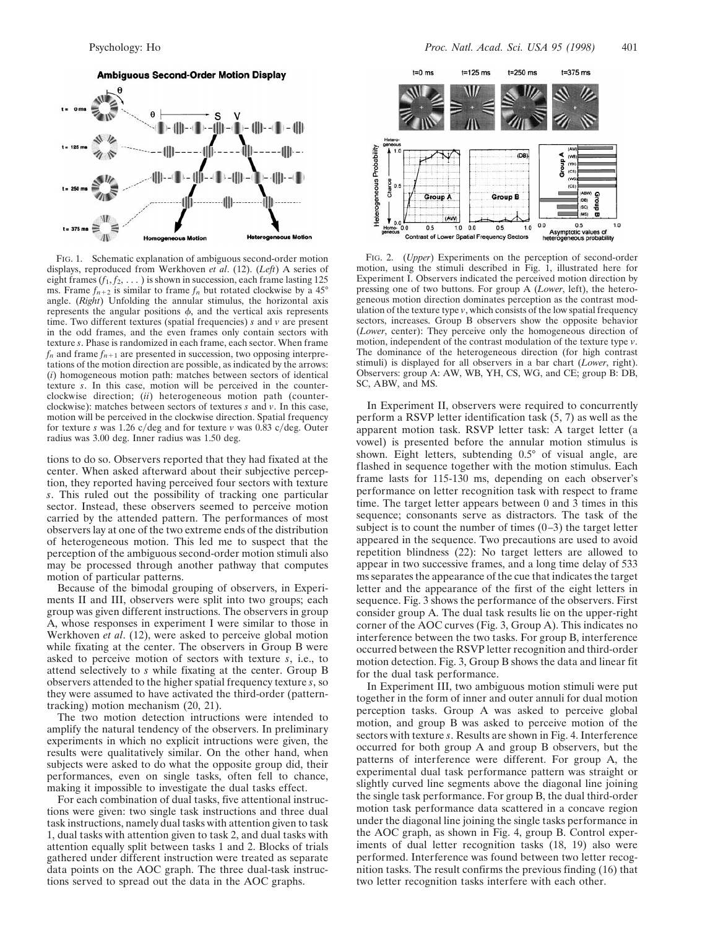

FIG. 1. Schematic explanation of ambiguous second-order motion displays, reproduced from Werkhoven *et al*. (12). (*Left*) A series of eight frames  $(f_1, f_2, \ldots)$  is shown in succession, each frame lasting 125 ms. Frame  $f_{n+2}$  is similar to frame  $f_n$  but rotated clockwise by a 45<sup>°</sup> angle. (*Right*) Unfolding the annular stimulus, the horizontal axis represents the angular positions  $\phi$ , and the vertical axis represents time. Two different textures (spatial frequencies) *s* and *v* are present in the odd frames, and the even frames only contain sectors with texture *s*. Phase is randomized in each frame, each sector. When frame  $f_n$  and frame  $f_{n+1}$  are presented in succession, two opposing interpretations of the motion direction are possible, as indicated by the arrows: (*i*) homogeneous motion path: matches between sectors of identical texture *s*. In this case, motion will be perceived in the counterclockwise direction; (*ii*) heterogeneous motion path (counterclockwise): matches between sectors of textures *s* and *v*. In this case, motion will be perceived in the clockwise direction. Spatial frequency for texture *s* was 1.26 c/deg and for texture  $\nu$  was 0.83 c/deg. Outer radius was 3.00 deg. Inner radius was 1.50 deg.

tions to do so. Observers reported that they had fixated at the center. When asked afterward about their subjective perception, they reported having perceived four sectors with texture *s*. This ruled out the possibility of tracking one particular sector. Instead, these observers seemed to perceive motion carried by the attended pattern. The performances of most observers lay at one of the two extreme ends of the distribution of heterogeneous motion. This led me to suspect that the perception of the ambiguous second-order motion stimuli also may be processed through another pathway that computes motion of particular patterns.

Because of the bimodal grouping of observers, in Experiments II and III, observers were split into two groups; each group was given different instructions. The observers in group A, whose responses in experiment I were similar to those in Werkhoven *et al*. (12), were asked to perceive global motion while fixating at the center. The observers in Group B were asked to perceive motion of sectors with texture *s*, i.e., to attend selectively to *s* while fixating at the center. Group B observers attended to the higher spatial frequency texture *s*, so they were assumed to have activated the third-order (patterntracking) motion mechanism (20, 21).

The two motion detection intructions were intended to amplify the natural tendency of the observers. In preliminary experiments in which no explicit intructions were given, the results were qualitatively similar. On the other hand, when subjects were asked to do what the opposite group did, their performances, even on single tasks, often fell to chance, making it impossible to investigate the dual tasks effect.

For each combination of dual tasks, five attentional instructions were given: two single task instructions and three dual task instructions, namely dual tasks with attention given to task 1, dual tasks with attention given to task 2, and dual tasks with attention equally split between tasks 1 and 2. Blocks of trials gathered under different instruction were treated as separate data points on the AOC graph. The three dual-task instructions served to spread out the data in the AOC graphs.



FIG. 2. (*Upper*) Experiments on the perception of second-order motion, using the stimuli described in Fig. 1, illustrated here for Experiment I. Observers indicated the perceived motion direction by pressing one of two buttons. For group A (*Lower*, left), the heterogeneous motion direction dominates perception as the contrast modulation of the texture type *v*, which consists of the low spatial frequency sectors, increases. Group B observers show the opposite behavior (*Lower*, center): They perceive only the homogeneous direction of motion, independent of the contrast modulation of the texture type *v*. The dominance of the heterogeneous direction (for high contrast stimuli) is displayed for all observers in a bar chart (*Lower*, right). Observers: group A: AW, WB, YH, CS, WG, and CE; group B: DB, SC, ABW, and MS.

In Experiment II, observers were required to concurrently perform a RSVP letter identification task (5, 7) as well as the apparent motion task. RSVP letter task: A target letter (a vowel) is presented before the annular motion stimulus is shown. Eight letters, subtending 0.5° of visual angle, are flashed in sequence together with the motion stimulus. Each frame lasts for 115-130 ms, depending on each observer's performance on letter recognition task with respect to frame time. The target letter appears between 0 and 3 times in this sequence; consonants serve as distractors. The task of the subject is to count the number of times  $(0-3)$  the target letter appeared in the sequence. Two precautions are used to avoid repetition blindness (22): No target letters are allowed to appear in two successive frames, and a long time delay of 533 ms separates the appearance of the cue that indicates the target letter and the appearance of the first of the eight letters in sequence. Fig. 3 shows the performance of the observers. First consider group A. The dual task results lie on the upper-right corner of the AOC curves (Fig. 3, Group A). This indicates no interference between the two tasks. For group B, interference occurred between the RSVP letter recognition and third-order motion detection. Fig. 3, Group B shows the data and linear fit for the dual task performance.

In Experiment III, two ambiguous motion stimuli were put together in the form of inner and outer annuli for dual motion perception tasks. Group A was asked to perceive global motion, and group B was asked to perceive motion of the sectors with texture *s*. Results are shown in Fig. 4. Interference occurred for both group A and group B observers, but the patterns of interference were different. For group A, the experimental dual task performance pattern was straight or slightly curved line segments above the diagonal line joining the single task performance. For group B, the dual third-order motion task performance data scattered in a concave region under the diagonal line joining the single tasks performance in the AOC graph, as shown in Fig. 4, group B. Control experiments of dual letter recognition tasks (18, 19) also were performed. Interference was found between two letter recognition tasks. The result confirms the previous finding (16) that two letter recognition tasks interfere with each other.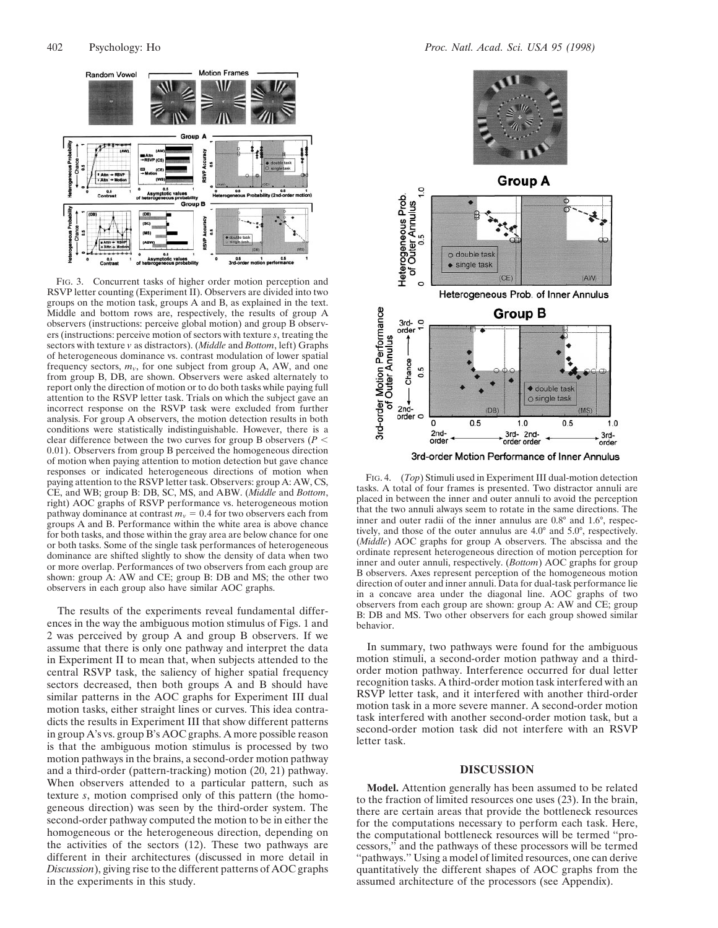

FIG. 3. Concurrent tasks of higher order motion perception and RSVP letter counting (Experiment II). Observers are divided into two groups on the motion task, groups A and B, as explained in the text. Middle and bottom rows are, respectively, the results of group A observers (instructions: perceive global motion) and group B observers (instructions: perceive motion of sectors with texture *s*, treating the sectors with texture *v* as distractors). (*Middle* and *Bottom*, left) Graphs of heterogeneous dominance vs. contrast modulation of lower spatial frequency sectors,  $m<sub>v</sub>$ , for one subject from group A, AW, and one from group B, DB, are shown. Observers were asked alternately to report only the direction of motion or to do both tasks while paying full attention to the RSVP letter task. Trials on which the subject gave an incorrect response on the RSVP task were excluded from further analysis. For group A observers, the motion detection results in both conditions were statistically indistinguishable. However, there is a clear difference between the two curves for group B observers ( $P$  < 0.01). Observers from group B perceived the homogeneous direction of motion when paying attention to motion detection but gave chance responses or indicated heterogeneous directions of motion when paying attention to the RSVP letter task. Observers: group A: AW, CS, CE, and WB; group B: DB, SC, MS, and ABW. (*Middle* and *Bottom*, right) AOC graphs of RSVP performance vs. heterogeneous motion pathway dominance at contrast  $m<sub>v</sub> = 0.4$  for two observers each from groups A and B. Performance within the white area is above chance for both tasks, and those within the gray area are below chance for one or both tasks. Some of the single task performances of heterogeneous dominance are shifted slightly to show the density of data when two or more overlap. Performances of two observers from each group are shown: group A: AW and CE; group B: DB and MS; the other two observers in each group also have similar AOC graphs.

The results of the experiments reveal fundamental differences in the way the ambiguous motion stimulus of Figs. 1 and 2 was perceived by group A and group B observers. If we assume that there is only one pathway and interpret the data in Experiment II to mean that, when subjects attended to the central RSVP task, the saliency of higher spatial frequency sectors decreased, then both groups A and B should have similar patterns in the AOC graphs for Experiment III dual motion tasks, either straight lines or curves. This idea contradicts the results in Experiment III that show different patterns in group A's vs. group B's AOC graphs. A more possible reason is that the ambiguous motion stimulus is processed by two motion pathways in the brains, a second-order motion pathway and a third-order (pattern-tracking) motion (20, 21) pathway. When observers attended to a particular pattern, such as texture *s*, motion comprised only of this pattern (the homogeneous direction) was seen by the third-order system. The second-order pathway computed the motion to be in either the homogeneous or the heterogeneous direction, depending on the activities of the sectors (12). These two pathways are different in their architectures (discussed in more detail in *Discussion*), giving rise to the different patterns of AOC graphs in the experiments in this study.



FIG. 4. (*Top*) Stimuli used in Experiment III dual-motion detection tasks. A total of four frames is presented. Two distractor annuli are placed in between the inner and outer annuli to avoid the perception that the two annuli always seem to rotate in the same directions. The inner and outer radii of the inner annulus are 0.8° and 1.6°, respectively, and those of the outer annulus are 4.0° and 5.0°, respectively. (*Middle*) AOC graphs for group A observers. The abscissa and the ordinate represent heterogeneous direction of motion perception for inner and outer annuli, respectively. (*Bottom*) AOC graphs for group B observers. Axes represent perception of the homogeneous motion direction of outer and inner annuli. Data for dual-task performance lie in a concave area under the diagonal line. AOC graphs of two observers from each group are shown: group A: AW and CE; group B: DB and MS. Two other observers for each group showed similar behavior.

In summary, two pathways were found for the ambiguous motion stimuli, a second-order motion pathway and a thirdorder motion pathway. Interference occurred for dual letter recognition tasks. A third-order motion task interfered with an RSVP letter task, and it interfered with another third-order motion task in a more severe manner. A second-order motion task interfered with another second-order motion task, but a second-order motion task did not interfere with an RSVP letter task.

### **DISCUSSION**

**Model.** Attention generally has been assumed to be related to the fraction of limited resources one uses (23). In the brain, there are certain areas that provide the bottleneck resources for the computations necessary to perform each task. Here, the computational bottleneck resources will be termed ''processors,'' and the pathways of these processors will be termed "pathways." Using a model of limited resources, one can derive quantitatively the different shapes of AOC graphs from the assumed architecture of the processors (see Appendix).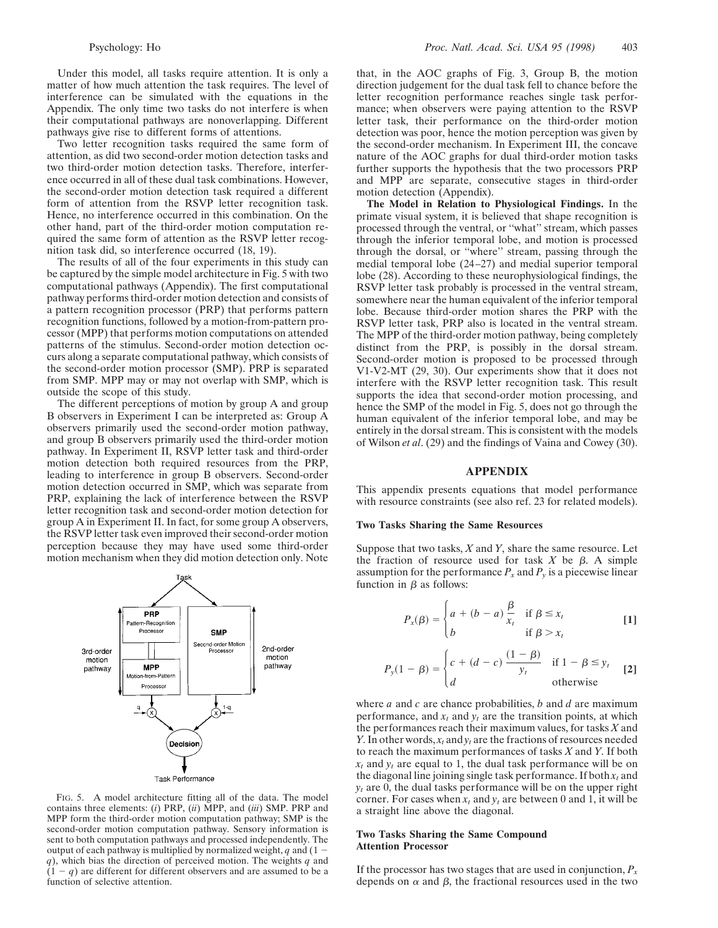Under this model, all tasks require attention. It is only a matter of how much attention the task requires. The level of interference can be simulated with the equations in the Appendix. The only time two tasks do not interfere is when their computational pathways are nonoverlapping. Different pathways give rise to different forms of attentions.

Two letter recognition tasks required the same form of attention, as did two second-order motion detection tasks and two third-order motion detection tasks. Therefore, interference occurred in all of these dual task combinations. However, the second-order motion detection task required a different form of attention from the RSVP letter recognition task. Hence, no interference occurred in this combination. On the other hand, part of the third-order motion computation required the same form of attention as the RSVP letter recognition task did, so interference occurred (18, 19).

The results of all of the four experiments in this study can be captured by the simple model architecture in Fig. 5 with two computational pathways (Appendix). The first computational pathway performs third-order motion detection and consists of a pattern recognition processor (PRP) that performs pattern recognition functions, followed by a motion-from-pattern processor (MPP) that performs motion computations on attended patterns of the stimulus. Second-order motion detection occurs along a separate computational pathway, which consists of the second-order motion processor (SMP). PRP is separated from SMP. MPP may or may not overlap with SMP, which is outside the scope of this study.

The different perceptions of motion by group A and group B observers in Experiment I can be interpreted as: Group A observers primarily used the second-order motion pathway, and group B observers primarily used the third-order motion pathway. In Experiment II, RSVP letter task and third-order motion detection both required resources from the PRP, leading to interference in group B observers. Second-order motion detection occurred in SMP, which was separate from PRP, explaining the lack of interference between the RSVP letter recognition task and second-order motion detection for group A in Experiment II. In fact, for some group A observers, the RSVP letter task even improved their second-order motion perception because they may have used some third-order motion mechanism when they did motion detection only. Note



FIG. 5. A model architecture fitting all of the data. The model contains three elements: (*i*) PRP, (*ii*) MPP, and (*iii*) SMP. PRP and MPP form the third-order motion computation pathway; SMP is the second-order motion computation pathway. Sensory information is sent to both computation pathways and processed independently. The output of each pathway is multiplied by normalized weight,  $q$  and (1 – *q*), which bias the direction of perceived motion. The weights *q* and  $(1 - q)$  are different for different observers and are assumed to be a function of selective attention.

that, in the AOC graphs of Fig. 3, Group B, the motion direction judgement for the dual task fell to chance before the letter recognition performance reaches single task performance; when observers were paying attention to the RSVP letter task, their performance on the third-order motion detection was poor, hence the motion perception was given by the second-order mechanism. In Experiment III, the concave nature of the AOC graphs for dual third-order motion tasks further supports the hypothesis that the two processors PRP and MPP are separate, consecutive stages in third-order motion detection (Appendix).

**The Model in Relation to Physiological Findings.** In the primate visual system, it is believed that shape recognition is processed through the ventral, or ''what'' stream, which passes through the inferior temporal lobe, and motion is processed through the dorsal, or ''where'' stream, passing through the medial temporal lobe (24–27) and medial superior temporal lobe (28). According to these neurophysiological findings, the RSVP letter task probably is processed in the ventral stream, somewhere near the human equivalent of the inferior temporal lobe. Because third-order motion shares the PRP with the RSVP letter task, PRP also is located in the ventral stream. The MPP of the third-order motion pathway, being completely distinct from the PRP, is possibly in the dorsal stream. Second-order motion is proposed to be processed through V1-V2-MT (29, 30). Our experiments show that it does not interfere with the RSVP letter recognition task. This result supports the idea that second-order motion processing, and hence the SMP of the model in Fig. 5, does not go through the human equivalent of the inferior temporal lobe, and may be entirely in the dorsal stream. This is consistent with the models of Wilson *et al*. (29) and the findings of Vaina and Cowey (30).

## **APPENDIX**

This appendix presents equations that model performance with resource constraints (see also ref. 23 for related models).

#### **Two Tasks Sharing the Same Resources**

Suppose that two tasks, *X* and *Y*, share the same resource. Let the fraction of resource used for task  $X$  be  $\beta$ . A simple assumption for the performance  $P_x$  and  $P_y$  is a piecewise linear function in  $\beta$  as follows:

$$
P_x(\beta) = \begin{cases} a + (b - a) \frac{\beta}{x_t} & \text{if } \beta \le x_t \\ b & \text{if } \beta > x_t \end{cases}
$$
 [1]

$$
P_{y}(1 - \beta) = \begin{cases} c + (d - c) \frac{(1 - \beta)}{y_t} & \text{if } 1 - \beta \le y_t \\ d & \text{otherwise} \end{cases}
$$
 [2]

where *a* and *c* are chance probabilities, *b* and *d* are maximum performance, and  $x_t$  and  $y_t$  are the transition points, at which the performances reach their maximum values, for tasks *X* and *Y*. In other words,  $x_t$  and  $y_t$  are the fractions of resources needed to reach the maximum performances of tasks *X* and *Y*. If both  $x_t$  and  $y_t$  are equal to 1, the dual task performance will be on the diagonal line joining single task performance. If both  $x_t$  and  $y_t$  are 0, the dual tasks performance will be on the upper right corner. For cases when  $x_t$  and  $y_t$  are between 0 and 1, it will be a straight line above the diagonal.

#### **Two Tasks Sharing the Same Compound Attention Processor**

If the processor has two stages that are used in conjunction,  $P_x$ depends on  $\alpha$  and  $\beta$ , the fractional resources used in the two